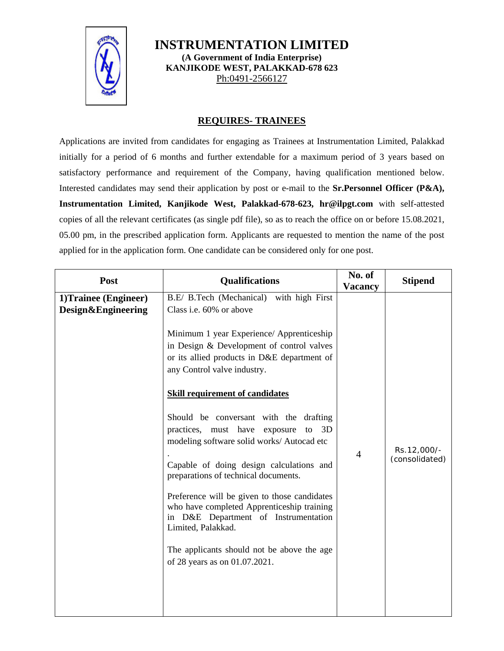

**INSTRUMENTATION LIMITED (A Government of India Enterprise) KANJIKODE WEST, PALAKKAD-678 623**  Ph:0491-2566127

## **REQUIRES- TRAINEES**

Applications are invited from candidates for engaging as Trainees at Instrumentation Limited, Palakkad initially for a period of 6 months and further extendable for a maximum period of 3 years based on satisfactory performance and requirement of the Company, having qualification mentioned below. Interested candidates may send their application by post or e-mail to the **Sr.Personnel Officer (P&A), Instrumentation Limited, Kanjikode West, Palakkad-678-623, hr@ilpgt.com** with self-attested copies of all the relevant certificates (as single pdf file), so as to reach the office on or before 15.08.2021, 05.00 pm, in the prescribed application form. Applicants are requested to mention the name of the post applied for in the application form. One candidate can be considered only for one post.

| 1)Trainee (Engineer)<br>B.E/ B.Tech (Mechanical) with high First<br>Design&Engineering<br>Class i.e. 60% or above<br>Minimum 1 year Experience/ Apprenticeship<br>in Design & Development of control valves<br>or its allied products in D&E department of<br>any Control valve industry.<br><b>Skill requirement of candidates</b><br>Should be conversant with the drafting<br>practices, must have exposure to<br>3D<br>modeling software solid works/ Autocad etc<br>Rs.12,000/-<br>$\overline{4}$<br>(consolidated)<br>Capable of doing design calculations and<br>preparations of technical documents.<br>Preference will be given to those candidates<br>who have completed Apprenticeship training<br>in D&E Department of Instrumentation<br>Limited, Palakkad.<br>The applicants should not be above the age<br>of 28 years as on 01.07.2021. | Post | <b>Qualifications</b> | No. of<br><b>Vacancy</b> | <b>Stipend</b> |
|---------------------------------------------------------------------------------------------------------------------------------------------------------------------------------------------------------------------------------------------------------------------------------------------------------------------------------------------------------------------------------------------------------------------------------------------------------------------------------------------------------------------------------------------------------------------------------------------------------------------------------------------------------------------------------------------------------------------------------------------------------------------------------------------------------------------------------------------------------|------|-----------------------|--------------------------|----------------|
|                                                                                                                                                                                                                                                                                                                                                                                                                                                                                                                                                                                                                                                                                                                                                                                                                                                         |      |                       |                          |                |